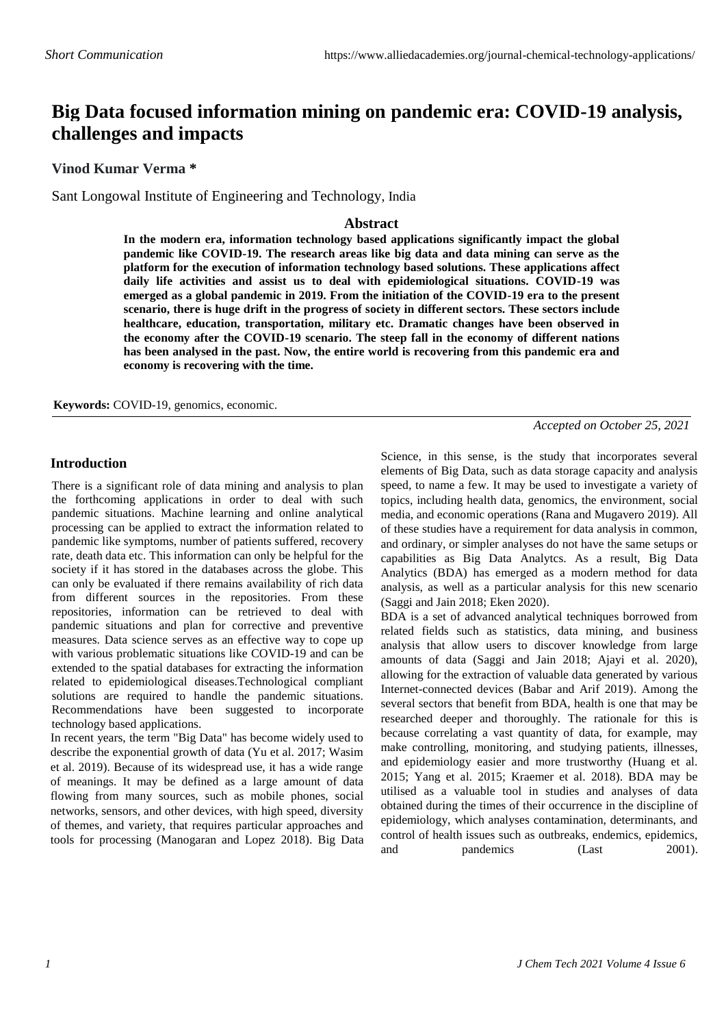# **Big Data focused information mining on pandemic era: COVID-19 analysis, challenges and impacts**

**Vinod Kumar Verma \***

Sant Longowal Institute of Engineering and Technology, India

### **Abstract**

**In the modern era, information technology based applications significantly impact the global pandemic like COVID-19. The research areas like big data and data mining can serve as the platform for the execution of information technology based solutions. These applications affect daily life activities and assist us to deal with epidemiological situations. COVID-19 was emerged as a global pandemic in 2019. From the initiation of the COVID-19 era to the present scenario, there is huge drift in the progress of society in different sectors. These sectors include healthcare, education, transportation, military etc. Dramatic changes have been observed in the economy after the COVID-19 scenario. The steep fall in the economy of different nations has been analysed in the past. Now, the entire world is recovering from this pandemic era and economy is recovering with the time.**

**Keywords:** COVID-19, genomics, economic.

*Accepted on October 25, 2021*

#### **Introduction**

There is a significant role of data mining and analysis to plan the forthcoming applications in order to deal with such pandemic situations. Machine learning and online analytical processing can be applied to extract the information related to pandemic like symptoms, number of patients suffered, recovery rate, death data etc. This information can only be helpful for the society if it has stored in the databases across the globe. This can only be evaluated if there remains availability of rich data from different sources in the repositories. From these repositories, information can be retrieved to deal with pandemic situations and plan for corrective and preventive measures. Data science serves as an effective way to cope up with various problematic situations like COVID-19 and can be extended to the spatial databases for extracting the information related to epidemiological diseases.Technological compliant solutions are required to handle the pandemic situations. Recommendations have been suggested to incorporate technology based applications.

In recent years, the term "Big Data" has become widely used to describe the exponential growth of data (Yu et al. 2017; Wasim et al. 2019). Because of its widespread use, it has a wide range of meanings. It may be defined as a large amount of data flowing from many sources, such as mobile phones, social networks, sensors, and other devices, with high speed, diversity of themes, and variety, that requires particular approaches and tools for processing (Manogaran and Lopez 2018). Big Data Science, in this sense, is the study that incorporates several elements of Big Data, such as data storage capacity and analysis speed, to name a few. It may be used to investigate a variety of topics, including health data, genomics, the environment, social media, and economic operations (Rana and Mugavero 2019). All of these studies have a requirement for data analysis in common, and ordinary, or simpler analyses do not have the same setups or capabilities as Big Data Analytcs. As a result, Big Data Analytics (BDA) has emerged as a modern method for data analysis, as well as a particular analysis for this new scenario (Saggi and Jain 2018; Eken 2020).

BDA is a set of advanced analytical techniques borrowed from related fields such as statistics, data mining, and business analysis that allow users to discover knowledge from large amounts of data (Saggi and Jain 2018; Ajayi et al. 2020), allowing for the extraction of valuable data generated by various Internet-connected devices (Babar and Arif 2019). Among the several sectors that benefit from BDA, health is one that may be researched deeper and thoroughly. The rationale for this is because correlating a vast quantity of data, for example, may make controlling, monitoring, and studying patients, illnesses, and epidemiology easier and more trustworthy (Huang et al. 2015; Yang et al. 2015; Kraemer et al. 2018). BDA may be utilised as a valuable tool in studies and analyses of data obtained during the times of their occurrence in the discipline of epidemiology, which analyses contamination, determinants, and control of health issues such as outbreaks, endemics, epidemics, and pandemics (Last 2001).